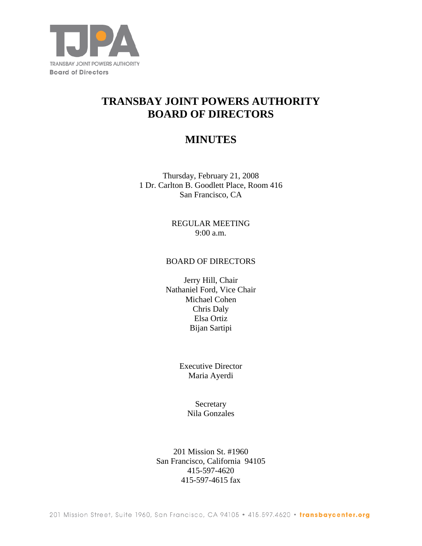

# **TRANSBAY JOINT POWERS AUTHORITY BOARD OF DIRECTORS**

## **MINUTES**

Thursday, February 21, 2008 1 Dr. Carlton B. Goodlett Place, Room 416 San Francisco, CA

> REGULAR MEETING 9:00 a.m.

#### BOARD OF DIRECTORS

Jerry Hill, Chair Nathaniel Ford, Vice Chair Michael Cohen Chris Daly Elsa Ortiz Bijan Sartipi

> Executive Director Maria Ayerdi

> > Secretary Nila Gonzales

201 Mission St. #1960 San Francisco, California 94105 415-597-4620 415-597-4615 fax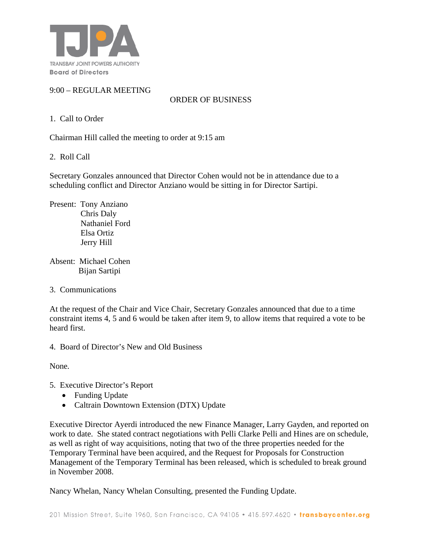

## 9:00 – REGULAR MEETING

ORDER OF BUSINESS

## 1. Call to Order

Chairman Hill called the meeting to order at 9:15 am

2. Roll Call

Secretary Gonzales announced that Director Cohen would not be in attendance due to a scheduling conflict and Director Anziano would be sitting in for Director Sartipi.

Present: Tony Anziano Chris Daly Nathaniel Ford Elsa Ortiz Jerry Hill

Absent: Michael Cohen Bijan Sartipi

3. Communications

At the request of the Chair and Vice Chair, Secretary Gonzales announced that due to a time constraint items 4, 5 and 6 would be taken after item 9, to allow items that required a vote to be heard first.

4. Board of Director's New and Old Business

None*.*

- 5. Executive Director's Report
	- Funding Update
	- Caltrain Downtown Extension (DTX) Update

Executive Director Ayerdi introduced the new Finance Manager, Larry Gayden, and reported on work to date. She stated contract negotiations with Pelli Clarke Pelli and Hines are on schedule, as well as right of way acquisitions, noting that two of the three properties needed for the Temporary Terminal have been acquired, and the Request for Proposals for Construction Management of the Temporary Terminal has been released, which is scheduled to break ground in November 2008.

Nancy Whelan, Nancy Whelan Consulting, presented the Funding Update.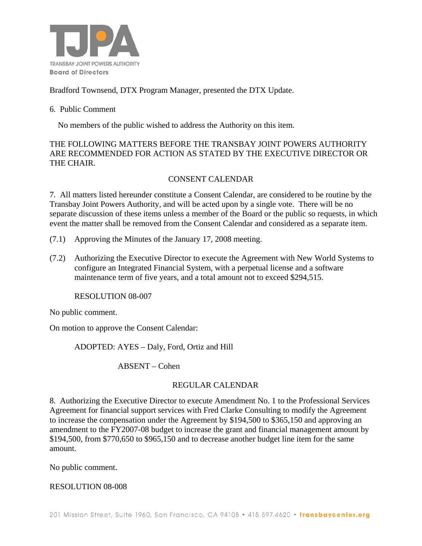

## Bradford Townsend, DTX Program Manager, presented the DTX Update.

#### 6. Public Comment

No members of the public wished to address the Authority on this item.

THE FOLLOWING MATTERS BEFORE THE TRANSBAY JOINT POWERS AUTHORITY ARE RECOMMENDED FOR ACTION AS STATED BY THE EXECUTIVE DIRECTOR OR THE CHAIR.

### CONSENT CALENDAR

7. All matters listed hereunder constitute a Consent Calendar, are considered to be routine by the Transbay Joint Powers Authority, and will be acted upon by a single vote. There will be no separate discussion of these items unless a member of the Board or the public so requests, in which event the matter shall be removed from the Consent Calendar and considered as a separate item.

- (7.1) Approving the Minutes of the January 17, 2008 meeting.
- (7.2) Authorizing the Executive Director to execute the Agreement with New World Systems to configure an Integrated Financial System, with a perpetual license and a software maintenance term of five years, and a total amount not to exceed \$294,515.

RESOLUTION 08-007

No public comment.

On motion to approve the Consent Calendar:

ADOPTED: AYES – Daly, Ford, Ortiz and Hill

ABSENT – Cohen

#### REGULAR CALENDAR

8. Authorizing the Executive Director to execute Amendment No. 1 to the Professional Services Agreement for financial support services with Fred Clarke Consulting to modify the Agreement to increase the compensation under the Agreement by \$194,500 to \$365,150 and approving an amendment to the FY2007-08 budget to increase the grant and financial management amount by \$194,500, from \$770,650 to \$965,150 and to decrease another budget line item for the same amount.

No public comment.

#### RESOLUTION 08-008